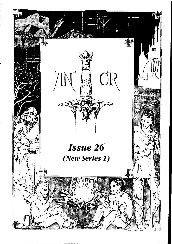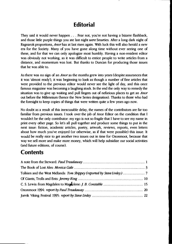# Editorial

They said it would never happen ... Fear not, you're not having a bizarre flashback, and those little purple things you ate last night were Smarties. After a long dark night of Ragnarok proportions, Anor has at last risen again. With luck this will also herald a new era for the Society. Many of you have gone along time without ever seeing one of these, and for that we can only apologize most humbly. Having a non-resident editor was obviouly not working, as it was difficult to entice people to write articles from a distance, and momentum was lost. But thanks to Duncan for producing those issues that he was able to.

As there was no sign of an Anoras the months grew into years (despite assurances that it was 'almost ready'), it was beginning to look as though a number of fine articles that were provided to the previous editor would never see the light of day, and this once famous magazine was becoming a laughing stock. In the end the only way to remedy the situation was to give up waiting and pull fingers out of nefarious places to get an *Anor* out before the Millennium (hence the New Series designation). Thanks to those who had the foresight to keep copies of things that were written quite a few years ago now.

No doubt as a result of this inexcusable delay, the names of the contributors are far too familiar from previous issues. I took over the job of Anor Editor on the condition that I wouldn't be the only contributor: my ego is not so fragile that I have to see my name in print every other page. So let's all pull together and produce some things to put in the next issue: fiction, academic articles, poetry, artwork, reviews, reports, even letters about how much you've enjoyed (or otherwise, as if that were possible) this issue. It would be really nice to get another two issues out in time for Oxonmoot, because that way we sell more and make more money, which will help subsidize our social activities (and future editions, of course).

# **Contents**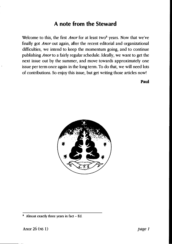## A note from the Steward

Welcome to this, the first Anor for at least two<sup>a</sup> years. Now that we've finally got Anor out again, after the recent editorial and organizational difficulties, we intend to keep the momentum going, and to continue publishing *Anor* to a fairly regular schedule. Ideally, we want to get the next issue out by the summer, and move towards approximately one issue per term once again in the long term. To do that, we will need lots of contributions. So enjoy this issue, but get writing those articles now!

Paul



 $a$  Almost exactly three years in fact  $-$  Ed.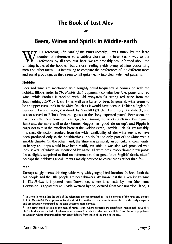## The Book of Lost Ales

or

### Beers, Wines and Spirits in Middle-earth

W Fill Fille rereading The Lord of the Rings recently. I was struck by the large number of references to a subject close to my heart (as it was to the Professor's, by all accounts): beer! We are probably best informed about the drinking habits of the hobbits,' but a close reading yields plenty of hints concerning men and other races. It is interesting to compare the preferences of the different races and social groupings, as they seem to fall quite neatly into dearly-defined patterns.

#### **Hobbits**

Beer and wine are mentioned with roughly equal frequency in connexion with the hobbits. Bilbo's larder in *The Hobbit*, ch. 1 apparently contains beer/ale, porter and red wine, while Frodo's is stocked with Old Winyards ('a strong red wine from the Southfarthing', LotR bk 1, ch. 1), as well as a barrel of beer. In general, wine seems to be an upper-class drink in the Shire (much as it would have been in Tolkien's England). Besides Bilbo and Frodo, it is drunk by Gandalf (TH, ch. 1) and Rory Brandybuck, and is also served to Bilbo's favoured guests at the 'long-expected party'. Beer seems to have been the most common beverage, both among the 'working classes' (Sandyman, Sam) and the more well-to-do (Farmer Maggot has 'good ale on tap', and Pippin is eager not to miss the excellent brew at the Golden Perch, LotR bk 1, ch. 4). Presumably, this class distinction resulted from the wider availability of ale: wine seems to have been produced only in the Southfarthing, no doubt the only part of the Shire with a suitable climate. On the other hand, the Shire was primarily an agricultural community, so barley and hops would have been readily available. It was also well provided with inns, several of which are mentioned by name: all were presumably 'home brew pubs'! I was slightly surprised to find no reference to that great 'olde English' drink, cider:t perhaps the hobbits' agriculture was mainly devoted to cereal crops rather than fruit.

#### Men

Unsurprisingly, men's drinking habits vary with geographical location. In Bree, both the big people and the little people are beer drinkers. We know that the Elven king's wine in *The Hobbit* is imported from Dorwinion, where it is made by men (the name Dorwinion is apparently an Elvish-Westron hybrid, derived from Sindarin 'dor' (land) +

<sup>&#</sup>x27; It is worth noting that the bulk of the references are concentrated in 'The Fellowship of the Ring' and the first half of The Hobbit. Descriptions of food and drink contribute to the homely atmosphere of the early chapters, and are gradually eliminated as the tone becomes more elevated.

<sup>&</sup>lt;sup>t</sup> The same could be said of the men of Minas Tirith, where orchards are specifically mentioned (*LoIR* bk 5, eh. 1). In this case the lack of references may result from the fact that we hear little about the rural population of Gondor, whose drinking habits may have differed from those of the men of the city.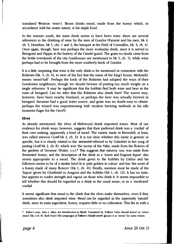translated Westron 'wine'). Beorn drinks mead, made from the honey which, in accordance with his ursine nature, is his staple food.

In the warmer south, the main drink seems to have been wine: there are several references to the drinking of wine by the men of Gondor (Faramir and his men, bk 4, eh. 5; Denethor, bk 5, chs. 1 and 4; the banquet at the Field of Cormallen, bk. 6, eh. 4). Once again, though, beer was perhaps the more workaday drink, since it is served to Beregond and Pippin in the buttery of the Citadel guard. The grain no doubt came from the fertile townlands of the city (oasthouses are mentioned in bk 5, eh. 1), while wine perhaps had to be brought from the more southerly lands of Gondor.

It is a little surprising that wine is the only drink to be mentioned in connexion with the Rohirrim (bk. 4, eh. 6), in view of the fact that the name of the king's house, Meduseld, means 'mead-hall'. Perhaps the lords of the Rohirrim had adopted the ways of their Gondorian neighbours, though we should beware of putting too much weight on a single reference. It may be significant that the hobbits find both wine and beer in the ruins of Isengard. Can we infer that the Rohirrim also drank beer? The source may, however, have been nearby Dunland, or perhaps the beer was actually brewed in Isengard. Saruman had a good water source, and grain was no doubt easy to obtain: perhaps the wizard was experimenting with modern brewing methods in his idle moments (lager for the Ores?!).

#### Elves

r<br>Fransk konge<br>Fransk konge

As already mentioned, the elves of Mirkwood drank imported wines. Most of our evidence for elvish ways, however, suggests that their preferred drink was a 'cordial' of their own making, apparently a kind of mead. The variety made in Rivendell, at least, was called miruvor (LotR bk 2, ch. 3). It is not clear whether this name is generic or specific, but it is clearly related to the *miruvórë* referred to by Galadriel in her song of parting (LotR bk 2, ch. 8), which was 'the nectar of the Valar, made from the flowers of the gardens of Yavanna' (Foster, s.v.).<sup>a</sup> This suggests that miruvor, too, was made from fermented honey, and the description of the drink as a 'warm and fragrant liquor' also seems appropriate to a mead. The drink given to the hobbits by Gildor and his followers seems to be of a similar kind (it is 'pale golden in colour' and has 'the scent of a honey made of many flowers' (bk 1, eh. 4)). Finally, mention must be made of the 'liquor' given by Glorfindel to Aragorn and the hobbits (bk 1, eh. 12). It has no taste, but appears to confer strength and vigour on those who drink it. It seems impossible to tell whether this should be regarded as a drink in the usual sense, or as a 'medicinal' cordial.

It seems significant that mead is the drink that the elves make themselves, even if they sometimes also drink imported wine. Mead can be regarded as the supremely 'natural' drink, since its main ingredient, honey, requires little or no cultivation. This fits in with a

<sup>&</sup>lt;sup>a</sup> Editor's note: Also J. Allen An Introduction to Elvish. Translated by Tolkien (who should know) as 'sweet mead' (bk 2 ch. 8). Ruth Noel (The Languages of Tolkien's Middle-earth) glosses it as 'nectar' for some reason.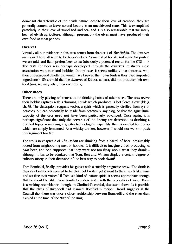dominant characteristic of the elvish nature: despite their love of creation, they are generally content to leave natural beauty in an uncultivated state. This is exemplified particlarly in their love of woodland and sea, and it is also remarkable that we rarely hear of elvish agriculture, although presumably the elves must have produced their own food at most periods.

#### Dwarves

Virtually all our evidence in this area comes from chapter 1 of 7be Hobbit. The dwarves mentioned here all seem to be beer-drinkers. 'Some called for ale and some for porter', we are told, and Balin prefers beer to tea (obviously a potential recruit for the CIS . . .). The taste for beer was perhaps developed through the dwarves' relatively close association with men and hobbits. In any case, it seems unlikely that dwarves, with their underground dwellings, would have brewed their own (unless they used imported ingredients). We are told that the dwarves of Erebor, at least, did not produce their own food (nor, we may infer, their own drink).

#### Other Races

There are only passing references to the drinking habits of other races. The ores revive their hobbit captives with a 'burning liquid' which produces 'a hot fierce glow' (bk 3, eh. 3). The description suggests vodka, a spirit which is generally distilled from rye or potatoes, but can potentially be made from practically anything, so that the agricultural capacity of the ores need not have been particularly advanced. Once again, it is perhaps significant that only the servants of the Enemy are described as drinking a distilled liquor - implying a greater technological capability than is needed for drinks which are simply fermented. As a whisky drinker, however, I would not want to push this argument too far!

The trolls in chapter 2 of *The Hobbit* are drinking from a barrel of beer, presumably looted from neighbouring men or hobbits. It is difficult to imagine a troll producing its own beer, and one supposes that they were not too fussy about what they drank although it has to be admitted that Tom, Bert and William display a certain degree of culinary nicety in their dicussion of the best way to cook dwarf!

Tom Bombadil, finally, provides his guests with a suitably enigmatic brew. 'The drink in their drinking-bowls seemed to be clear cold water, yet it went to their hearts like wine and set free their voices.' If Tom is a kind of 'nature spirit', it seems appropriate enough that he should be able miraculously to endow water with the properties of wine. There is a striking resemblance, though, to Glorfindel's cordial, discussed above. Is it possible that the elves of Rivendell had learned Bombadil's recipe? Elrond suggests at the Council that there was once a closer realtionship between Bombadil and the elves than existed at the time of the War of the Ring.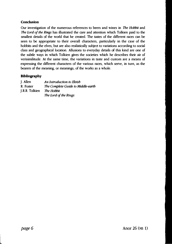#### Conclusion

Our investigation of the numerous references to beers and wines in 7be Hobbit and The Lord of the Rings has illustrated the care and attention which Tolkien paid to the smallest details of the world that he created. The tastes of the different races can be seen to be appropriate to their overall characters, particularly in the case of the hobbits and the elves, but are also realistically subject to variations according to social class and geographical location. Allusions to everyday details of this kind are one of the subtle ways in which Tolkien gives the societies which he describes their air of verisimilitude. At the same time, the variations in taste and custom are a means of expressing the different characters of the various races, which serve, in turn, as the bearers of the meaning, or meanings, of the works as a whole.

#### Bibliography

| J. Allen       | An Introduction to Elvish          |
|----------------|------------------------------------|
| R. Foster      | The Complete Guide to Middle-earth |
| J.R.R. Tolkien | The Hobbit                         |
|                | The Lord of the Rings              |

l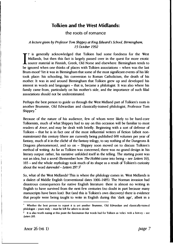### Tolkien and the West Midlands:

### the roots of romance

#### A lecture given by Professor Tom Sbippey at King Edward's School, Birmingbam, 15 October 1992

 $\boldsymbol{\Gamma}$  is generally acknowledged that Tolkien had some fondness for the West Midlands, but then this fact is largely passed over in the quest for more exotic source material in Finnish, Greek, Old Norse and elsewhere. B T is generally acknowledged that Tolkien had some fondness for the West Midlands, but then this fact is largely passed over in the quest for more exotic be ignored when one thinks of places with Tolkien associations - when was the last Brum-moot? Yet it was in Birmingham that some of the most significant events of his life took place: his schooling, his conversion to Roman Catholicism, the death of his mother. It was in and around Birmingham that Tolkien grew up and developed his interest in words and languages - that is, became a philologist. It was also where his family came from, particularly on his mother's side, and the importance of such filial associations should not be underestimated.

Perhaps the best person to guide us through the West Midland part of Tolkien's roots is another Brummie, Old Edwardian and classically-trained philologist, Professor Tom Shippey:

Because of the nature of his audience, few of whom were likely to be hard-core Tolkienists, much of what Shippey had to say on this occasion will be familiar to most readers of *Anor*, and may be dealt with briefly. Beginning with a sort of defense of Tolkien - that he is in fact one of the most influential writers of fiction (albeit nonmainstream) this century (there are currently being published 600 volumes per year of fantasy, much of it in the cliché of the fantasy trilogy, to say nothing of the Dungeons  $\&$ Dragons phenomenon), and so on - Shippey soon moved on to discuss Tolkien's method of writing. As far as Tolkien was concerned, there was no grand design in his literary output: rather, his narrative unfolded itself in the telling. The starting point was not an idea, but a *word*. (Remember how *The Hobbit* came into being – see Letters 163, 165- and the whole mythology took much of its shape as a result of Tolkien's curiosity about the word *éarendel – Letters* 297.)<sup>t</sup>

So, what of the West Midlands? This is where the philology comes in. West Midlands is a dialect of Middle English (conventional dates 1066-1485). The Norman invasion had disastrous consequences for native English literature: there is almost no writing in English to have survived from the next few centuries (no doubt in part because many manuscripts have been lost). But (and this is Tolkien's own discovery) there is evidence that people were being taught to write in English during this 'dark age', albeit in a

<sup>&#</sup>x27; Whether the best person to repon it is yet another Brummie, Old Edwardian and classically·trained philologist  $-$  yours truly  $-$  must be left for others to decide

 $\hbar$  It is also wonh noting at this point the fascination that words had for Tolkien as 'relics' with a history – see Letters 205.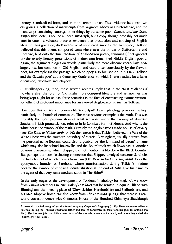literary, standardised form, and in more remote areas. This evidence falls into two categories: a collection of manuscripts from Wigmore Abbey in Herefordshire, and the manuscript containing, amongst other things by the same poet, Gawain and the Green Knight (this, note, is not the author's autograph, but a copy, though probably not much later in date - a valuable piece of evidence that production and copying of English literature was going on, itself indicative of an interest amongst the well-to-do). Tolkien believed that this poem, composed somewhere near the border of Staffordshire and Cheshire, held onto the 'true tradition' of Anglo-Saxon poetry, shunning (if not ignorant of) the overtly literary pretensions of mainstream frenchified Middle English poetry. Again, the argument hinges on words, particularly the more obscure vocabulary, now largely lost but common in Old English, and used unselfconsciously by the Gawain poet, for example (in the passage which Shippey also focused on in his talk 'Tolkien and the Gawain poet' at the Centenary Conference, to which I refer readers for a fuller discussion) 'wodwos' and 'etaynes'.

Culturally-speaking, then, these written records imply that in the West Midlands if nowhere else, the torch of Old English, pre-conquest literature and sensibilities was being kept alight for at least three centuries in the face of encroaching 'Normanization', something of profound importance for an avowed Anglo-Saxonist such as Tolkien.

How does this surface in Tolkien's literary output? Again, philology provides the key, particularly the branch of onomastics. The most obvious example is the Mark. This was probably the local pronunciation of what we now, under the tyranny of Standard Southern British pronunciation, refer to in its Latinized form of Mercia. And why is the white horse the symbol of the Mark? Certainly the Anglo-Saxons made no use of cavalry (see *The Road to Middle-earth*, p. 94); the reason is that Tolkien believed the Vale of the White Horse was the southern boundary of Mercia. Birmingham, usually derived from the personal name Beorma, could also (arguably) be 'the farmstead of Beorn', a name which may also lie behind Bournville, and the Bournbrook which flows past it. Another obvious place-name, which Shippey did not mention, is Mordor - the Black Country. But perhaps the most fascinating connection that Shippey divulged concerns Sarehole, the first element of which derives from Saru (Old Mercian for OE searu, man). Does the eponymous founder of Sarehole, whose transformation during Tolkien's lifetime became the symbol of imposing industrialization at the end of LotR, give his name to the agent of that very same mechanization in The Shire?<sup>\$</sup>

In the early stages of the development of Tolkien's 'mythology for England', we know from various references in The Book of Lost Tales that he wanted to equate Elfland with Birmingham, the meeting-place of Warwickshire, Herefordshire and Staffordshire, and his own adoptive home. We also know from The Lost Road (p. 413) that there is a realworld correspondence with Gilfanon's House of the Hundred Chimneys: Shuckburgh

l

<sup>&</sup>lt;sup>4</sup> Note also the following information from Humphrey Carpenter's *Biography* (p. 20): There were two millers at Sarchole during the Tolkiens' childhood, father and son (cf. Sandyman the Miller and his good-for nothing son Ted). The brothers John and Hilary were afraid of the son, who wore a white beard, and whom they called 'the White Ogre' (my italics).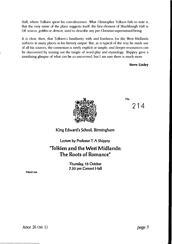Hall, where Tolkien spent his convalescence. What Christopher Tolkien fails to note is that the very name of the place suggests itself: the first element of Shuckburgh Hall is OE scucca, goblin or demon, used to describe any pre-Christian supernatural being.

It is clear, then, that Tolkien's familiarity with and fondness for the West Midlands surfaces in many places in his literary output. But, as is typical of the way he made use of all his sources, the connexion is rarely explicit or simple, and deeper resonances can be discovered by teasing out the tangle of word-play and etymology. Shippey gave a tantalizing glimpse of what can be so uncovered, but I am sure there is much more.

**Steve Linley** 



No.

214

King Edward's School, Birmingham

### Lecture by Professor T A Shippey

## "Tolkien and the West Midlands: The Roots of Romance"

Thursday, 15 October 7.30 pm Concert Hall

Admit one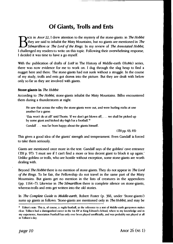# Of Giants, Trolls and Ents

 $\rm{B}$ ACK in Anor 22, I drew attention to the mystery of the stone-giants: in The Hobbit they are said to inhabit the Misty Mountains, but no giants are mentioned in The Silmarillion or The Lord of the Rings. In my review of The Annotated Hobbit, I challenged my readers to write on this topic. Following their overwhelming response, I decided it was time to have a go myself.

With the publication of drafts of LotR in The History of Middle-earth (HoMe) series, there was now evidence for me to work on. I dug through the slag heap to find a nugget here and there. The stone-giants had not sunk without a struggle. In the course of my study, trolls and ents got drawn into the picture. But they are dealt with below only so far as they are involved with giants.

#### Stone-giants in The Hobbit

According to The Hobbit, stone-giants inhabit the Misty Mountains. Bilbo encountered them during a thunderstorm at night:

He saw that across the valley the stone-giants were out, and were hurling rocks at one another for a game.

'This won't do at all!' said Thorin. 'If we don't get blown off, ... we shall be picked up by some giant and kicked sky-high for a football.<sup>'a</sup>

Gandalf ... was far from happy about the giants himself.

( 711 pp. 63, 65)

This gives a good idea of the giants' strength and temperament. Even Gandalf is forced to take them seriously.

Giants are mentioned once more in the text. Gandalf says of the goblins' cave entrance  $(7H \, \text{o. 97})$ : 'I must see if I can't find a more or less decent giant to block it up again.' Unlike goblins or trolls, who are hostile without exception, some stone-giants are worth dealing with.

Beyond The Hobbit there is no mention of stone-giants. They do not appear in The Lord of the Rings. To be fair, the Fellowship do not travel in the same part of the Misty Mountains. But giants get no mention in the lists of creatures in the appendices (pp. 1164 $-7$ ). Likewise in *The Silmarillion* there is complete silence on stone-giants, whereas trolls and ents get written into the old stories.

In The Complete Guide to Middle-earth, Robert Foster (p. 366, under 'Stone-giants') sums up giants as follows: 'Stone-giants are mentioned only in The Hobbit, and may be

<sup>&</sup>lt;sup>a</sup> Editor's note. This is, of course, a *rugby* football, as the reference to a sort of Middle-earth garryowen makes clear. Tolkicn had a distinguished career in the ISI XV at King Edward's School, where to my knowledge and in my experience, Association Football has only ever been played unofficially, and was probably not played at all in Tolkien's day.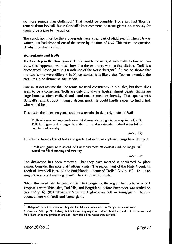no more serious than Golfimbul.' That would be plausible if one just had Thorin's remark about football. But in Gandalrs later comment, he treats giants too seriously for them to be a joke by the author.

The conclusion must be that stone-giants were a real part of Middle-earth when TH was written, but had dropped out of the scene by the time of LotR. This raises the question of why they disappeared.

#### Stone-giants and trolls

The first step in the stone-giants' demise was to be merged with trolls. Before we can show this happened, we must show that the two races were at first distinct. 'Troll' is a Norse word. 'Stone-giant' is a translation of the Norse 'bergrisi'.\* If it can be shown that the two terms were different in Norse stories, it is likely that Tolkien intended the creatures to be distinct in The Hobbit.

One must not assume that the terms are used consistently in old tales, but there does seem to be a consensus. Trolls are ugly and always hostile, almost beasts. Giants are large humans, often civilized and handsome, sometimes friendly. That squares with Gandalrs remark about finding a decent giant. He could hardly expect to find a troll who would help.

This distinction between giants and trolls remains in the early drafts of LotR:

Trolls of a new and most malevolent kind were abroad; giants were spoken of, a Big Folk far bigger and stronger than Men ... and no stupider, indeed often full of cunning and wizardry.

RotSp. 253

This fits the Norse ideas of trolls and giants. But in the next phase, things have changed:

Trolls and giants were abroad, of a new and more malevolent kind, no longer dullwitted but full of cunning and wizardry.

RotSp. 319

The distinction has been removed. That they have merged is confirmed by place names. Consider this note that Tolkien wrote: 'The region west of the Misty Mountains north of Rivendell is called the Entishlands - home of Trolls.' (ToI p. 10) 'Ent' is an Anglo-Saxon word meaning 'giant'.<sup>†</sup> Here it is used for trolls.

When this word later became applied to tree-giants, the region had to be renamed. Proposals were Thirsdales, Trollfells, and Bergrisland before Ettenmoor was settled on (see To/ pp. 65, 306). 'Thyrs' and 'eten' are Anglo-Saxon, both meaning 'giant'. They are equated here with 'troll' and 'stone-giant'.

<sup>&#</sup>x27;Hill-giant' is a better translation: they dwell in hills and mountains. But 'berg' also means 'stone'.

<sup>&</sup>lt;sup>t</sup> Compare Letters p. 208: 'I always felt that something ought to be done about the peculiar A. Saxon word ent for a 'giant' or mighty person of long ago - to whom all old works were ascribed.'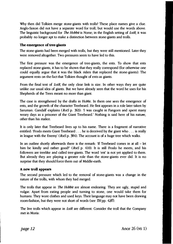Why then did Tolkien merge stone-giants with trolls? These place names give a clue. Anglo-Saxon did not have a separate word for troll, but would use the words above. The linguistic background for The Hobbit is Norse; in the English setting of LotR, it was probably no longer apt to make a distinction between stone-giants and trolls.

### The emergence of tree-giants

The stone-giants had been merged with trolls, but they were still mentioned. later they were removed altogether. Two pressures seem to have led to this.

The first pressure was the emergence of tree-giants, the ents. To show that ents replaced stone-giants, it has to be shown that they really correspond (for otherwise one could equally argue that it was the black riders that replaced the stone-giants). The argument rests on the fact that Tolkien thought of ents as giants.

From the final text of LotR, the only clear link is size. In other ways they are quite unlike our usual idea of giants. But we have already seen that the word he uses for his Shepherds of the Trees meant no more than giant.

The case is strengthened by the drafts in HoMe. In them one sees the emergence of ents, and the growth of the character Treebeard. He first appears in a role later taken by Saruman. Gandalf explains (RotS p. 363): 'I was caught in Fangorn and spent many weary days as a prisoner of the Giant Treebeard.' Nothing is said here of his nature, other than his malice.

It is only later that Treebeard lives up to his name. There is a fragment of narrative entitled: 'Frodo meets Giant Treebeard ... he is deceived by the giant who ... is really in league with the Enemy' ( $RotS$  p. 384). The account is of a huge tree which walks.

In an outline shortly afterwards there is the remark: 'If Treebeard comes in at all - let him be kindly and rather good?' (RotS p. 410). It is still Frodo he meets, and his followers are treelike and called tree-giants. The word 'ent' is not yet applied to them. But already they are playing a greater role than the stone-giants ever did. It is no surprise that they should force them out of Middle-earth.

### A new troll appears

The second pressure which led to the removal of stone-giants was a change in the nature of the trolls, with whom they had merged.

The trolls that appear in *The Hobbit* are almost endearing. They are ugly, stupid and vulgar. Apart from eating people and turning to stone, one would take them for humans. They wore clothes and used keys. Their language may not have been drawing room-fashion, but they were not short of words (see  $TH$  pp. 42ff).

The live trolls which appear in LotR are different. Consider the troll that the Company met in Moria: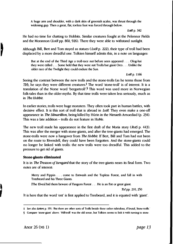A huge arm and shoulder, with a dark skin of greenish scales, was thrust through the widening gap. Then a great, flat, toeless foot was forced through below.

LOIR p. 342

He had no time for chatting to Hobbits. Similar creatures fought at the Pelennor Fields and the Morannon (LotR pp. 860, 926). There they were able to withstand sunlight.

Although Bill, Bert and Tom stayed as statues (LotR p. 222), their type of troll had been displaced by a more dreadful one. Tolkien himself admits this, in a note on languages:

But at the end of the Third Age a troll-race not before seen appeared ... Olog-hai they were called ... Some held that they were not Trolls but giant Ores ... Unlike the older race of the Twilight they could endure the Sun.

LotR  $p. 1166$ 

Seeing the contrast between the new trolls and the stone-trolls (as he terms those from  $TH$ ), he says they were different creatures.<sup>‡</sup> The word 'stone-troll' is of interest. It is a translation of the Norse word 'bergartroll'.<sup>5</sup> This word was used more in Norwegian folk-tales than in the older myths. By that time trolls were taken less seriously, much as in 7be Hobbit.

In earlier stories, trolls were huge monsters. They often took part in human battles, with decisive effect. It is this sort of troll that is abroad in LotR. They even make a one-off appearance in The Silmarillion, being killed by Húrin in the Nirnaeth Arnoediad (p. 234). This was a late addition - trolls do not feature in HoMe.

The new troll made his appearance in the first draft of the Moria story (RotS p. 443). This was after the merger with stone-giants, and after the tree-giants had emerged. The stone-trolls were now a hangover from *The Hobbit*. If Bert, Bill and Tom had not been on the route to Rivendell, they could have been forgotten. And the stone-giants could no longer be linked with trolls: the new trolls were too dreadful. This added to the pressure to get rid of giants.

#### Stone-giants eliminated

|<br>'

' ,

It is in *The Treason of Isengard* that the story of the tree-giants nears its final form. Two notes are of interest:

Merry and Pippin . . . come to Entwash and the Topless Forest, and fall in with Treebeard and his Three Giants.

[The Elves) bid them beware of Fangorn Forest ... He is an Ent or great giant.

To/pp. 210, 250

It is here that the word 'ent' is first applied to Treebeard, and it is equated with 'giant'.

 $\pm$  See also Letters p. 191: 'But there are other sorts of Trolls beside these rather ridiculous, if brutal, Stone-trolls.'

Compare 'stone-giant' above. 'Hill-troll' was the old sense, but Tolkien seems to link it with turning to stone.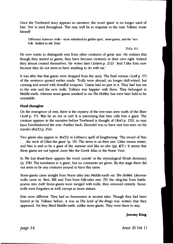Once the Treebeard story appears as narrative, the word 'giant' is no longer used of him. 'Ent' is used throughout. This may well be in response to the note Tolkien wrote himself:

Difference between *trolls* – stone inhabited by goblin-spirit, *stone-giants*, and the 'treefolk'. [Added in ink: Entsl

#### Tolp. 411

He now wants to distinguish ents from other creatures of great size. He realizes that though they started as giants, they have become creatures in their own right. Indeed they almost created themselves. He writes later (Letters p. 212): 'And I like Ents now because they do not seem to have anything to do with me.'

It was after this that giants were dropped from the story. The final version ( $\text{LotR } p$ , 57) of the sentence quoted earlier reads: 'Trolls were abroad, no longer dull-wined, but cunning and armed with dreadful weapons.' Giants had no part in it. They had lost out to the ents and the new trolls. Tolkien was happier with them. They belonged in Middle-earth, whereas stone-giants sneaked in via *The Hobbit*, but were later held to be unsuitable.

#### Final thoughts

On the emergence of ents, there is the mystery of the tree-man seen north of the Shire (LotR p. 57). Was he an ent or not? It is interesting that Sam calls him a giant. The creature appears in the narrative before Treebeard is thought of (RotS p. 253), so may have foreshadowed the ents. Further back, Earendel was to have met tree-men on his travels (BoLT2 p. 254).

Two giants also appear in BoLT2, in Luthien's spell of lengthening: 'The sword of Nan ... the neck of Gilim the giant' (p. I9). The stress is on their size. Gilim means winter, and Nan is said to be a giant of the summer and like an elm (pp. 67f.). It seems that these giants are not typical: more like the Greek Atlas or the Norse Ymir.

In The Lost Road there appears the word 'noroth' in the etymological Elvish dictionary (p. 378). The translation is 'a giant', but no comments are given. By this stage there did not seem to be any creatures around to have this name.

Stone-giants came straight from Norse tales into Middle-earth via The Hobbit. Likewise trolls came in: Bert, Bill and Tom from folk-tales into  $TH$ , the olog-hai from battlepoems into LotR. Stone-giants were merged with trolls, then removed entirely. Stonetrolls were forgotten as well, except as stone statues.

Ents were different. They had no forerunners in ancient tales. Though they had been hinted at by Tolkien before, it was as *The Lord of the Rings* was written that they appeared. Yet they fitted Middle-earth, unlike stone-giants. They were there to stay.

#### Jeremy King

 $page 14$  Anor 26 (NS 1)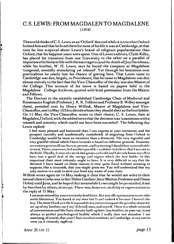### C.S.LEWIS:FROMMAGDALENTO MAGDALENE  $(1954)$

The world thinks of C. S. Lewis as an 'Oxford' don and while it is true that Oxford fanned him and that he lived there for most of his life it was at Cambridge, at that time far less sceptical about Lewis's brand of religious popularization than Oxford, that his happiest years were spent. One of Lewis's editors, Clyde Kilby, has placed his transition from one University to the other on a parallel of importance for his later life with the marriage to (and the death of) Joy Davidman, while his brother, W. H. Lewis, says he found the company at Magdalene 'congenial, mentally stimulating yet relaxed'. Yet through his hesitation over practicalities he nearly lost his chance of getting here. That Lewis came to Cambridge was due, largely, to Providence; that he came to Magdalene was due almost entirely to the fact that the Vice-Chancellor of the day was also Master of the College. This account of his move is based on papers held in the Magdalene College Archives, quoted with kind permission from the Master and Fellows.

The Electors to the recently established Cambridge Chair of Medieval and Renaissance English (Professor J. R. R. Tolkien and Professor B. Willey amongst them), presided over by Henry Willink, Master of Magdalene and Vice-Chancellor, met in May 1954 to decide whom they should elect as the first holder. On 11 May the Vice-Chancellor wrote to their choice, C. S. Lewis, then at Magdalen, Oxford, with the added news that the decision was 'unanimous with a wannth and sincerity which could not have been exceeded'. The following day Lewis replied:

I feel more pleased and honoured than I can express at your invitation; and the prospect (socially and academically considered) of migrating from Oxford to Cambridge would be more an incentive than a deterrent. The very regretful and very grateful refusal which I have to make is based on different grounds. Domestic hecessities govern all our lives at present, and by moving I should lose an invaluable servant. I have, moreover, led another possible candidate to believe that I was not in the field. Thi rdly, I come of a stock that grows early old and I already know myself to have lost a good deal of the energy and vigour which the first holder of this important chair most certainly ought to have. It is very difficult to say that the decision I have based on these reasons is now quite fixed without seeming to suppose, like a coxcomb, that you might press me. You will understand that my only motive is a wish to save you from any waste of your time.

Willink wrote again on 14 May making it clear that he would not write to their second choice (who was in fact Helen Gardner,later M erton Professor and Dame Helen) until June, and he hoped that meanwhile Lewis might be persuaded, if not<br>. by him then by others, to accept. There was, bowever, no delay or equivocation in the reply of  $15$  May:

I am most moved by your extremely kind letter. But you offerpersuasion to one who needs liberation. You knock at my door but I can't unlock it because I haven't the key. The more Hook at it the less possible it seems to transport the peculiar domestic set-up of my brother, our ['my' deleted] man, and myself. There is a whole network of conveniences and life-lines already built up here (my brother, in your ear, is not always in perfect psychological health) which I really dare not abandon. I am assuming, of course, that your Chair involves residence at Cambridge, at any rate in term (as it certainly  $\omega$ *eht* to).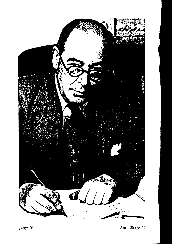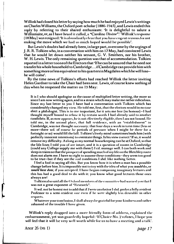Willink had closed his letter by saying how much he had enjoyed Lewis's writings on Charles Williams, the Oxford poet-scholar (1886-1945), and Lewis ended this reply by referring to their shared enthusiasm: 'It is delightful to salute a Williamsite, or, as I have heard it ralled, a "Caroline Divine".' Willink's response (18 May) was resigned: 'It is abundantly clear that you have cogent reasons for not making the move which we had so much hoped would be possible'.

But Lewis's doubts had already been, in large part, overcome by the urgings of J. R. R. Tolkien who, in a conversation with him on 17 May, had convinced Lewis that he would let down neither his servant, G. V. Smithers, nor his brother, W. H. Lewis. The only remaining question was that of accommodation. Tolkien reported in a lettertooneofthe Electors that 'If he can be assured that he need not transfer his whole household to Cambridge ... if Cambridge can provide him with something more orless equivalent to his quarters in Magdalen which he will losehe will come'.

By the time news ofTolkien's efforts had reached Willink the letter inviting Helen Gardner to take the Chair had been sent. Lewis, of course knew nothing of this when he reopened the matter on 19 May:

It is I who should apologise as the cause of multiplied letter writing, the more so since I am now writing again, and in a strain which may make me rather ridiculous. Since my last letter to you I have had a conversation with Tolkien which has considerably changed my view. He told me, first, that the electors would in no case elect a philologist. This is to nw important, for it sets me free (in honour)-I had thought myself hound to refuse it by certain words I had already said to another candidate. If, as now appears, he is not effectively cligible, then I am not bound. He told me, in the second place, that full residence, with an "establishment" in Cambridge, was not thought necessary: that four days a week in term time (less or more-there wd. of course be periods of pressure when I might he there for a fortnight or so) would fill the bill. Tolkien's lively mind sometimes leads him (with perfectly innocent intentions) to overstate things. Is his view correct! If so, it would remove my difficulty. As long as my normal housekeeping can be at Oxford, so that the life-lines I told you of arc intact, and it is a question of rooms in Camlnidge (could any College supply me with them?) I cd. manage well. I can both work and sleep in trains so that the prospect of spending much of my life on the Bletchley route does not alarm me. I have no right to assume these conditions-they seem too good to be true-but if they are the real conditions I shd. like nothing better.

I feel a fool in saying all this. But you know how it is when a man has a possible change before him. It is impossible not to toy with the idea of what you would do, or would have done, if you accepted. I have begun composing imaginary lectures and this has had a good deal to do with it: you know what good lectures those ones always are!

Tolkien also said all the Oxford members of the committee had warned you that I was not a great exponent of "Research".

It wd. not be honest not to add that if *I* were an elector I shd. prefer a fully resident Professor to a semi-resident one even if he were slightly less desirable in other respects.

Whatever your conclusion, I shall always be gra teful for your kindness and rather ashamed of the trouble I have given.

Willink's reply dropped into a more friendly form of address, explained the embarrassment, yet was guardedly hopeful: 'lf Choice No. 2 refuses, I hope you will feel that it will he very well worth while for us to have a meeting and a talk'.

Anor  $26 \text{ (NS 1)}$  page 17

 $\overline{\phantom{a}}$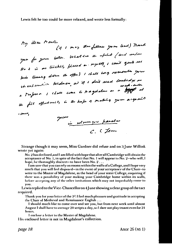Lewis felt he too could be more relaxed, and wrote less formally:

My illen Marlin 1.7 mm 11 11 11 11 12 15 then fillow your least) Trant.<br>1904 for your latter. What ever the wholet ( and centers you for your latter. What is myself I can't quite red No 2 is as means for fin tenang aven in 19 1 doit seast lantindge on a Professor 1 chace come to tragelate as a type of a paper .<br>Un fil offerencits in an hope of making your arguments -�, yours<br>in utrimque paralus c. ( ;U�

Strange though it may seem, Miss Gardner did refuse and on 3 June Willink wrote yet again:

No. 2 has declined, and l am filled with hope that after all Cambridge will obtain the acceptance of No. 1, in spite of the fact that No. 1 will appear to  $No. 2$ -who will, l hope, be thoroughly discreet–to have been No.  $2 \ldots$ 

 $\mathbf I$  am sure that you can rely on rooms within the walls of a College, and I hope very nuch that you will feel disposed—in the event of your acceptance of the Chair—to write to the Master of Magdalene, as the head of your sister College, enquiring if there was a possibility of your making your Cambridge home within its walls, before accepting any of the other invitations which may not improbably come to you.

Lewis replied to the Vice-Chancellor on 4J une showing aclear grasp oft he tact required.

Thank you for your letter of the  $3<sup>d</sup>$ . I feel much pleasure and gratitude in accepting the Chair of Medieval and Renaissance English ...

I should much like to come over and see you, but from next week until almost August I shall have to average 20 scripts a day, so I dare not play truant even for  $24^\circ$ hours.

I enclose a letter to the Master of Magdalene.

l lis t•nclosed letter is not in Magdalene's collection.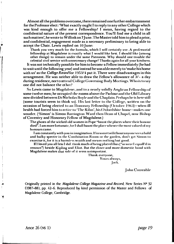AI most all the problems overcome, there remained one further embarrassment for the Professor elect: 'What exactly ought I to reply to any other College which was kind enough to offer me a Fellowship? I mean, having regard to the confidential nature of the present correspondence. You '11 find me a child in all suchmatters',hewrote to Willinkon 7June.TheMastertold him to plead a prior, and confidential, engagement made as a necessary preliminary to being able to accept the Chair. Lewis replied on 10 June:

Thank you very much for the formula, which I will certainly use. A professorial fellowship at Magdalene is exactly what I would like best. I should like (among other things) to remain under the same Patroness. Why should one trouble the celestial civil service with unnecessary change? Thanks again for all your kindness.

It was not technically possible for him to become a Fellow immediately (he had to wait until the following year) and instead hewas ablemerely to'make his home with us' as the *College Record* for 1953/4 put it. There were disadvantages in this arrangement. He was neither able to draw the Fellow's allowance of  $3/-$  a day during residence, norto attend College Governing Body Meetings. Who is to say one did not balance the other?

So **Lewis came to M**agdalene, and to a nearly solidly Anglican Fellowship of some twelve men; he occupied the rooms above the Parlour and the Old Library now divided between Dr Nicholas Boyle and the Chaplain. Perhaps he is here still (some tourists seem to think so). His last letter to the College, written on the occasion of being elected to an Honorary Fellowship (October 1963)-when ill health had forced him to retire to 'The Kilns', his Oxfordshire home-makes one wonder. ('Simon' is Simon Barrington-Ward then Dean of Chapel, now Bishop of Coventry and Honorary Fellow of Magdalene.)

The ghosts of the wicked old women in Pope "haunt the places where their honour died". I am more fortunate, for I shall haunt the place whence the most valued of my honours came.

I am constantly with you in imagination. If in somet wilit hour anyone sees a bald and bulky spectre in the Combination Room or the garden, don't get Simon to exorcise it, for it is a harmless wraith and means nothing but good.

If  $\bf l$  loved you all less  $\bf l$  shd. think much of being placed thus ("so were  $\bf l$  equall'd in renown") beside Kipling and Eliot. But the closer and more domestic bond with Magdalene makes that side of it seem unimportant.

> Thank everyone, Yours always, Jack.

> > John Constable

Originally printed in the *Magdalene College Magazine and Record*, New Series Nº 32 0987-88), pp. 42-6. Reproduced by kind permission of the Master and Fellows of Magdalene College, Cambridge .

,..

 $\ddot{\phantom{a}}$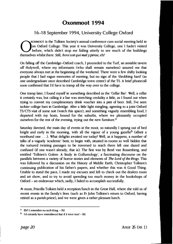## Oxonmoot 1 994

### 16-18 September 1994, University College Oxford

 $\rm{O}$ XONMOOT is the Tolkien Society's annual conference cum social meeting held in an Oxford College. This year it was University College, one I hadn't visited before, which didn't stop me failing utterly to see much of the buildings themselves whilst there. Still, *honi soit qui mal y pense*, eh?

On falling off the Cambridge-Oxford coach, I proceeded to the Turf, an amiable tavern off Holywell, where my informants (who shall remain nameless) assured me that everyone always met at the beginning of the weekend. There were a few shifty looking people that I had vague memories of meeting, but no sign of the 'throbbing hard' (as one undergraduate once described Cambridge town centre) of the TS. A brief phonecall soon confirmed that I'd have to tramp all the way over to the college.

One tramp later, I found myself in something described as the 'Cellar Bar'. Well, a cellar it certainly was, but calling it a bar was stretching credulity a little, as I found out when trying to convert my complimentary drink voucher into a pint of beer. Still, I've seen tackier college bars in Cambridge. After a little light mingling, agreeing to a joint Oxford TS/CTS visit of some sort (watch this space), and something vaguely resembling food, I departed with my hosts, bound for the suburbs, where we pleasantly occupied ourselves for the rest of the evening, trying out the new furniture.<sup>3</sup>

Saturday dawned, the main day of events at the moot, so naturally I sprang out of bed bright and early in the morning, with all the vigour of a young gazelle<sup>b</sup> (albeit a moribund one .. . ). What delights awaited me today? Well, as it happens, a number of talks of a vaguely 'academic' bent, to begin with, situated in rooms so well hidden that the tortured twisting passages to be traversed to reach there left one dazed and confused (if one wasn't already, that is). The first was by Rem� van Rossenberg, and entitled 'Tolkien's Golem: A Study in Gollumology', a fascinating discourse on the parallels between a variety of horror stories and elements of The Lord of the Rings. This was followed by a discussion on the History of Middle Earth, Christopher Tolkien's continuing publication of his father's papers, and whether this was A Good Thing. Unable to stand the pace, I made my excuses and left to check out the dealers room and art show, and to try to avoid spending too much money in the bookshops of Oxford - an endeavour which, sadly, I failed to accomplish successfully.

At noon, Priscilla Tolkien held a reception/lunch in the Great Hall, where she told us of recent events in the family's lives (such as Fr John Tolkien's return to Oxford, having retired as a parish priest), and we were given a rather pleasant lunch.

 $\frac{a}{b}$  Eh? I remember no such thing.  $-$  Ed.

 $<sup>b</sup>$  I'd certainly have remembered that if it were true! - Ed.</sup>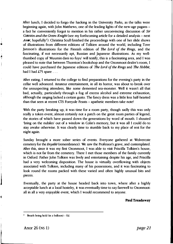After lunch, I decided to forgo the hacking in the University Parks, as the talks were beginning again, with John Matthews, one of the leading lights of the new-age pagans  $\pm$ a fact he conveniently forgot to mention in his rather unconvincing discussion of Sir Gawain and the Green Knight (see my forthcoming article for a detailed analysis – next Aner, hopefully<sup>c</sup>). Christina Scull finished the proceedings with one of her slide shows of illustrations from different editions of Tolkien around the world, including Tove Jansson's illustrations for the Finnish edition of The Lord of the Rings, and the fascinating, if not necessarily apt, Russian and Japanese illustrations. As my wellthumbed copy of 'Muumin dani no fuyu' will testify, this is a fascinating area, and I was pleased to note that between Thornton's bookshop and the Oxonmoot dealer's room, I could have purchased the Japanese editions of The Lord of the Rings and The Hobbit, had I had £75 spare ...

After eating, I returned to the college to find preparations for the evening's party in the cellar well advanced. Amateur entertainment, in all its horror, was about to break over the unsuspecting attendees, like some demented sea-monster. Well it wasn't all that bad, actually, particularly through a fog of excess alcohol and extreme exhaustion, although the singing lacked a certain gusto. The fancy dress was a little less half-hearted than that seen at recent CTS Foreyule Feasts - apathetic members take note!

With the party breaking up, it was time for a room party, though sadly this was only really a token event, almost certainly not a patch on the great room parties of legend, the stories of which have passed down the generations by word of mouth. I shouted 'bring on the nubiles' out of a window in Colin's memory, but it was all I could do to stay awake otherwise. It was clearly time to stumble back to my place of rest for the night again.

Sunday brought a more sober series of events. Everyone gathered at Wolvercote cemetery for the *Enyalië* (remembrance). We saw the Professor's grave, and contemplated. After this, since it was my first Oxonmoot, I was able to visit Priscilla Tolkien's house, which is not far from the cemetery. There I met those members of the family currently in Oxford. Father John Tolkien was lively and entertaining despite his age, and Priscilla had a very welcoming disposition. The house is virtually overflowing with objects associated with Tolkien, including many of his possessions, and it was fascinating to look round the rooms packed with these varied and often highly unusual bits and pieces.

Eventually, the party at the house headed back into town, where after a highly acceptable lunch at a local hostelry, it was eventually time to say farewell to Oxonmoot: all in all a very enjoyable event, which I would recommend to anyone.

Paul Treadaway

Anor  $26$  (NS 1) page 21

 $\ddot{\tau}$ 

 $c$  Breath being held (in a balloon) - Ed.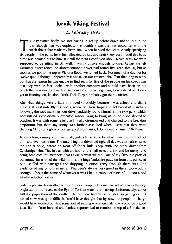# Jorvik Viking Festival

### 25 February 1 995

 $\rm T$ 25 February 1995<br>HE day started badly. No, not having to get up before dawn and set out in the rain (though that was unpleasant enough); it was the first encounter with the  $\Box$  coach driver that made my heart sink. When handed the ticket, clearly specifying six people in the party, he at first allocated us just two seats (very cosy), until this basic error was pointed out to him. But still there was confusion about which seats we were supposed to be sitting in. Ah well, I wasn't awake enough to care. At last we left Drummer Street (once the aforementioned driver had found first gear, that is), but as soon as we got to the top of Victoria Road, we turned back. Not much of a day out for twelve quid, I thought. Apparently it had taken our eminent chauffeur that long to work out that the reason he was unable to find seats for five of the people on his coach was that they were in fact booked with another company and should have been on the coach that was due to leave half an hour later. I was beginning to wonder if we'd ever get to Huntingdon, let alone York. Dick Turpin probably got there quicker.

After that, things were a little improved (probably because I was asleep and didn't notice), at least until Blyth services, where we were hoping to get breakfast. Carefully following the road markings, our driver suddenly found himself in the HGV park, which necessitated some dismally executed manoeuvring to bring us to the place allotted to coaches. It was with some relief that I finally disembarked and charged to the breakfast emporium, but there my sanity was further assaulted when I saw that they were charging £1.15 for a glass of orange juice! No thanks, I don't need Vitamin C that much.

To cut a long journey short, we finally got as far as York, by which time the sun had got up - and even come out. The only thing the driver did right all day was to park close to the Tap & Spite, before he went off for 'a little sleep' with the other driver from Cambridge. Hm. This left us with an hour and a half to eat, drink and be merry, and being hard-core crs members, that's exactly what we did. One of my favourite parts of our annual invasion of the wild north is the huge Yorkshire pudding from this particular pub, stuffed with sausages and dripping in onion gravy (though there was little evidence of any onions in mine). The beer's always very good in there, too – oddly enough, I forget the name of whatever it was I had a couple of pints of ... Not a bad whisky selection, either.

Suitably prepared/anaesthetized for the next couple of hours, we set off across the city, bright sun in our eyes, to the Eye of York to watch the hacking. Unfortunately, about half the population of the northern hemisphere had the same idea, so getting even a partial view was quite difficult. You'd have thought that by now the people in charge would have worked out that some sort of seating - or even a stand - would be a good idea. But no. Your intrepid and fearless reporter had to clamber on top of a Portakabin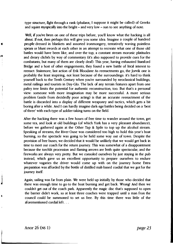type structure, fight through a rank (phalanx, I suppose it might be called) of Greeks and squint myopically into the bright  $-$  and very low  $-$  sun to see anything of note.

Well, if you've been on one of these trips before, you'll know what the hacking is all about. If not, then perhaps this will give you some idea. Imagine a couple of hundred people dressed in blankets and assorted ironmongery, tentatively waving pointless spears or blunt swords at each other in an attempt to recreate what one of those old battles would have been like; and over the top, a constant stream moronic platitudes and dreary clichés by way of commentary (it's also supposed to provide cues for the combatants, but many of them are clearly deaf). This year, having exhausted Stamford Bridge and a host of other engagements, they found a new battle of local interest to reenact: Stainmore, last action of Erik Bloodaxe As reenactments go, the Jorvik one is probably the least inspiring, not least because of the surroundings: it's hard to think yourself back to the Tenth Century when you're surrounded by neoclassical buildings, metal railings and tourists in Day-Gio. The lack of any terrain features apart from one paltry tree limits the potential for authentic reconstruction, too. But that's a personal view: someone with more imagination may be more successful. A more serious problem (aside from decidedly poor acting) is that an accurate reenactment of the battle is discarded into a display of different weaponry and tactics, which gets a bit boring after a while. And I can hardly imagine dark-age battles being decided on a 'best of three' with each type of soldier taking turns on the field.

After the hacking there was a few hours of free time to wander around the town, get some tea, and look at old buildings (of which York has a very pleasant abundance), before we gathered again at the Other Tap & Spile to top up the alcohol stream. Speaking of streams, the River Ouse was considered too high to hold this year's boat burning, so the spectacle was going to be held some way out of town. Despite the provision of free buses, we decided that it would be unlikely that we would get back in time to meet our coach for the return journey. This was somewhat of a disappointment because the torchlit procession and flaming arrows are both quite spectacular, and the fireworks are always very pretty. But we consoled ourselves by just staying in the pub instead, which gave us an excellent opportunity to prepare ourselves to endure whatever vagaries the driver would come up with on the journey home Extra preparation was afforded by the bottle of distilled malt-based cordial that we got for the journey itself.

Again, sailing was far from plain. We were held up initially by those who decided that there was enough time to go to the boat burning and get back. Wrong! And then we couldn't get out of the coach park. Apparently the magic disc that's supposed to open the barrier didn't work, so at least three coaches were trapped until a man fron the council could be summoned to set us free. By this time there was little of the aforementioned cordial left ...

Anor  $26$  (NS 1) page  $23$ 

..

 $\bullet$ 

London Company Corporation

 $\mathbf{I}$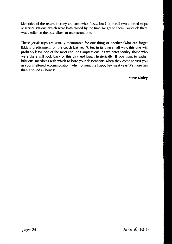Memories of the return journey are somewhat fuzzy, but I do recall two aborted stops at service stations, which were both closed by the time we got to them. Good job there was a toilet on the bus, albeit an unpleasant one.

These Jorvik trips are usually memorable for one thing or another (who can forget Eddy's 'predicament' on the coach last year?), but in its own small way, this one will probably leave one of the most enduring impressions. As we enter senility, those who were there will look back of this day and laugh hysterically. If you want to gather hilarious anecdotes with which to bore your descendents when they come to visit you in your sheltered accommodation, why not joint the happy few next year? It's more fun than it sounds - honest!

#### Steve Unley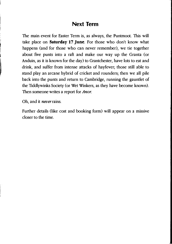## Next Term

The main event for Easter Term is, as always, the Puntmoot. This will take place on **Saturday 17 June**. For those who don't know what happens (and for those who can never remember), we tie together about five punts into a raft and make our way up the Granta (or Anduin, as it is known for the day) to Grantchester, have lots to eat and drink, and suffer from intense attacks of hayfever; those still able to stand play an arcane hybrid of cricket and rounders; then we all pile back into the punts and return to Cambridge, running the gauntlet of the Tiddlywinks Society (or Wet Winkers, as they have become known). Then someone writes a report for *Anor*.

Oh, and it never rains.

I<br>I<br>I<br>I

I

 $\overline{\phantom{a}}$ 

Further details (like cost and booking form) will appear on a missive closer to the time.